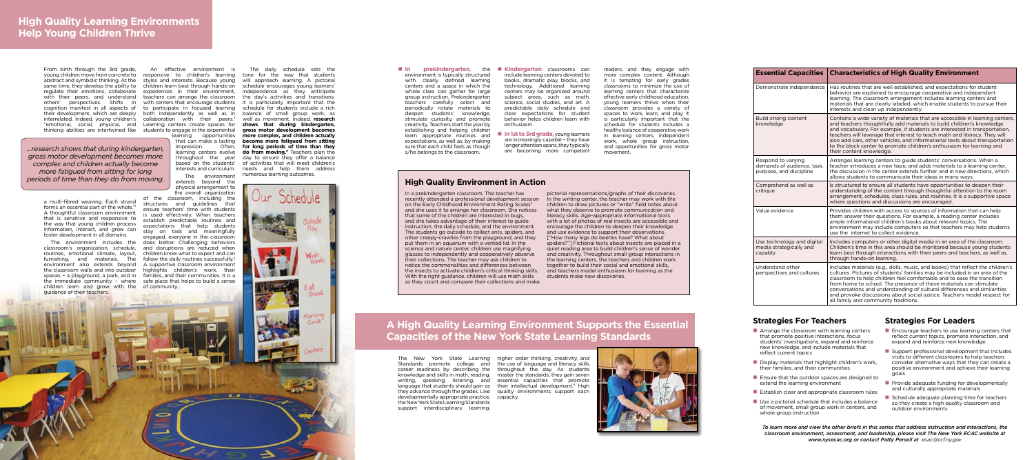a multi-fibred weaving. Each strand forms an essential part of the whole."1 A thoughtful classroom environment that is sensitive and responsive to the way that young children process information, interact, and grow can foster development in all domains.

From birth through the 3rd grade, young children move from concrete to responsive to children's learning tone for the way that students abstract and symbolic thinking. At the styles and interests. Because young will approach learning. A pictorial same time, they develop the ability to children learn best through hands-on regulate their emotions, collaborate experiences in their environment, with their peers, and understand teachers can arrange the classroom others' perspectives. Shifts in with centers that encourage students cognition manifest in all aspects of to participate in focused learning their development, which are deeply both independently as well as in interrelated. Indeed, young children's collaboration with their peers.<sup>2</sup> "emotional, social, physical, and Learning centers create spaces for

The environment includes the classroom's organization, schedule, routines, emotional climate, layout, furnishing, and materials. The follow-the-daily-routines-successfully.<sup>3</sup> environment also extends beyond A supportive classroom environment the classroom walls and into outdoor highlights children's work, their spaces – a playground, a park, and in families, and their communities. It is a the immediate community – where safe place that helps to build a sense children learn and grow with the of community. guidance of their teachers.

thinking abilities are intertwined like students to engage in the experiential An effective environment is learning opportunities

that can make a lasting impression. Often, learning centers evolve throughout the year based on the students' interests and curriculum.

The environment extends beyond the physical arrangement to the overall organization

of the classroom, including the structures and guidelines that ensure teachers' time with students is used effectively. When teachers establish predictable routines and expectations that help students stay on task and meaningfully engaged, everyone in the classroom does better. Challenging behaviors and disruptions are reduced when children know what to expect and can

=

The daily schedule sets the schedule encourages young learners' independence as they anticipate the day's activities and transitions. It is particularly important that the schedule for students include a rich balance of small group work, as well as movement. Indeed, **research shows that during kindergarten, gross motor development becomes more complex, and children actually become more fatigued from sitting for long periods of time than they do from moving.**<sup>4</sup> Teachers plan the day to ensure they offer a balance of activities that will meet children's needs and help them address

numerous learning outcomes.

 $\bullet$ 

## **High Quality Environment in Action**

In a prekindergarten classroom. The teacher has recently attended a professional development session on the Early Childhood Environment Rating Scales<sup>5</sup> and she uses it to arrange her classroom. She notices that some of the children are interested in bugs, and she takes advantage of their interest to guide instruction, the daily schedule, and the environment. The students go outside to collect ants, spiders, and other creepy-crawlies from the playground, and they put them in an aquarium with a vented lid. In the science and nature center, children use magnifying glasses to independently and cooperatively observe their collections. The teacher may ask children to notice the commonalities and differences between the insects to activate children's critical thinking skills. With the right guidance, children will use math skills as they count and compare their collections and make

- $\blacksquare$  Arrange the classroom with learning centers that promote positive interactions, focus students' investigations, expand and reinforce new knowledge, and include materials that reflect current topics
- $\blacksquare$  Display materials that highlight children's work, their families, and their communities
- $\blacksquare$  Ensure that the outdoor spaces are designed to extend the learning environment
- $\blacksquare$  Establish clear and appropriate classroom rules
- $\blacksquare$  Use a pictorial schedule that includes a balance of movement, small group work in centers, and whole group instruction

pictorial representations/graphs of their discoveries. In the writing center, the teacher may work with the children to draw pictures or "write" field notes about what they observe to promote communication and literacy skills. Age-appropriate informational texts with a lot of photos of real insects are accessible and encourage the children to deepen their knowledge and use evidence to support their observations. ["How many legs do beetles have? What about spiders?"] Fictional texts about insects are placed in a quiet reading area to build children's sense of wonder and creativity. Throughout small group interactions in the learning centers, the teachers and children work together to build their social and emotional skills, and teachers model enthusiasm for learning as the students make new discoveries.



#### **n In prekindergarten**, the environment is typically structured with clearly defined learning

**Kindergarten** classrooms can include learning centers devoted to books, dramatic play, blocks, and technology. Additional learning centers may be organized around subject areas, such as math, science, social studies, and art. A predictable daily schedule and clear expectations for student behavior helps children learn with

# **A High Quality Learning Environment Supports the Essential Capacities of the New York State Learning Standards**

**In 1st to 3rd grade,** young learners are increasingly capable – they have longer attention spans, they typically are becoming more competent

The New York State Learning higher order thinking, creativity, and Standards promote college and the use of language and literacy skills career readiness by describing the throughout the day. As students knowledge and skills in math, reading, master the standards, they gain seven writing, speaking, listening, and essential capacities that promote language that students should gain as their intellectual development.<sup>6</sup> High they advance through the grades. Like quality environments support each developmentally appropriate practice, capacity. the New York State Learning Standards support interdisciplinary learning,

- $\blacksquare$  Encourage teachers to use learning centers that reflect current topics, promote interaction, and expand and reinforce new knowledge
- $\blacksquare$  Support professional development that includes visits to different classrooms to help teachers consider alternative ways that they can create a positive environment and achieve their learning goals
- $\blacksquare$  Provide adequate funding for developmentally and culturally appropriate materials
- $\blacksquare$  Schedule adequate planning time for teachers so they create a high quality classroom and outdoor environments

| <b>Essential Capacities</b>                                                 | <b>Characteristics of High Quality Environment</b>                                                                                                                                                                                                                                                                                                                                                                                                                                                           |
|-----------------------------------------------------------------------------|--------------------------------------------------------------------------------------------------------------------------------------------------------------------------------------------------------------------------------------------------------------------------------------------------------------------------------------------------------------------------------------------------------------------------------------------------------------------------------------------------------------|
| Demonstrate independence                                                    | Has routines that are well established, and expectations for student<br>behavior are explained to encourage cooperative and independent<br>learning. The classroom arrangement includes learning centers and<br>materials that are clearly labeled, which enable students to pursue their<br>interests and clean up independently.                                                                                                                                                                           |
| Build strong content<br>knowledge                                           | Contains a wide variety of materials that are accessible in learning centers,<br>and teachers thoughtfully add materials to build children's knowledge<br>and vocabulary. For example, if students are interested in transportation,<br>teachers will leverage that interest to teach math and literacy. They will<br>also add cars, other vehicles, and informational texts about transportation<br>to the block center to promote children's enthusiasm for learning and<br>their content knowledge.       |
| Respond to varying<br>demands of audience, task,<br>purpose, and discipline | Arranges learning centers to guide students' conversations. When a<br>teacher introduces a new topic and adds materials to a learning center,<br>the discussion in the center extends further and in new directions, which<br>allows students to communicate their ideas in many ways.                                                                                                                                                                                                                       |
| Comprehend as well as<br>critique                                           | Is structured to ensure all students have opportunities to deepen their<br>understanding of the content through thoughtful attention to the room<br>arrangement, schedules, class rules, and routines. It is a supportive space<br>where questions and discussions are encouraged.                                                                                                                                                                                                                           |
| Value evidence                                                              | Provides children with access to sources of information that can help<br>them answer their questions. For example, a reading center includes<br>ample informational children's books about relevant topics. The<br>environment may include computers so that teachers may help students<br>use the internet to collect evidence.                                                                                                                                                                             |
| Use technology and digital<br>media strategically and<br>capably            | Includes computers or other digital media in an area of the classroom.<br>Children's time in this area should be monitored because young students<br>learn best through interactions with their peers and teachers, as well as,<br>through hands-on learning.                                                                                                                                                                                                                                                |
| Understand other<br>perspectives and cultures                               | Includes materials (e.g., dolls, music, and books) that reflect the children's<br>cultures. Pictures of students' families may be included in an area of the<br>classroom to help children feel comfortable and to ease the transition<br>from home to school. The presence of these materials can stimulate<br>conversations and understanding of cultural differences and similarities<br>and provoke discussions about social justice. Teachers model respect for<br>all family and community traditions. |

centers and a space in which the whole class can gather for large group instruction. Prekindergarten teachers carefully select and periodically rotate materials to deepen students' knowledge, stimulate curiosity, and promote creativity. Teachers start the year by establishing and helping children learn appropriate routines and expectations, as well as, by making sure that each child feels as though s/he belongs to the classroom.

enthusiasm.

readers, and they engage with more complex content. Although it is tempting for early grades classrooms to minimize the use of learning centers that characterize effective early childhood education, young learners thrive when their classroom provides a variety of spaces to work, learn, and play. It is particularly important that the schedule for students includes a healthy balance of cooperative work in learning centers, independent work, whole group instruction, and opportunities for gross motor movement.

# **Strategies For Teachers Strategies For Leaders**

*To learn more and view the other briefs in this series that address instruction and interactions, the classroom environment, assessment, and leadership, please visit The New York ECAC website at www.nysecac.org or contact Patty Persell at ecac@ccf.ny.gov*

*...research shows that during kindergarten, gross motor development becomes more complex and children actually become more fatigued from sitting for long periods of time than they do from moving.*